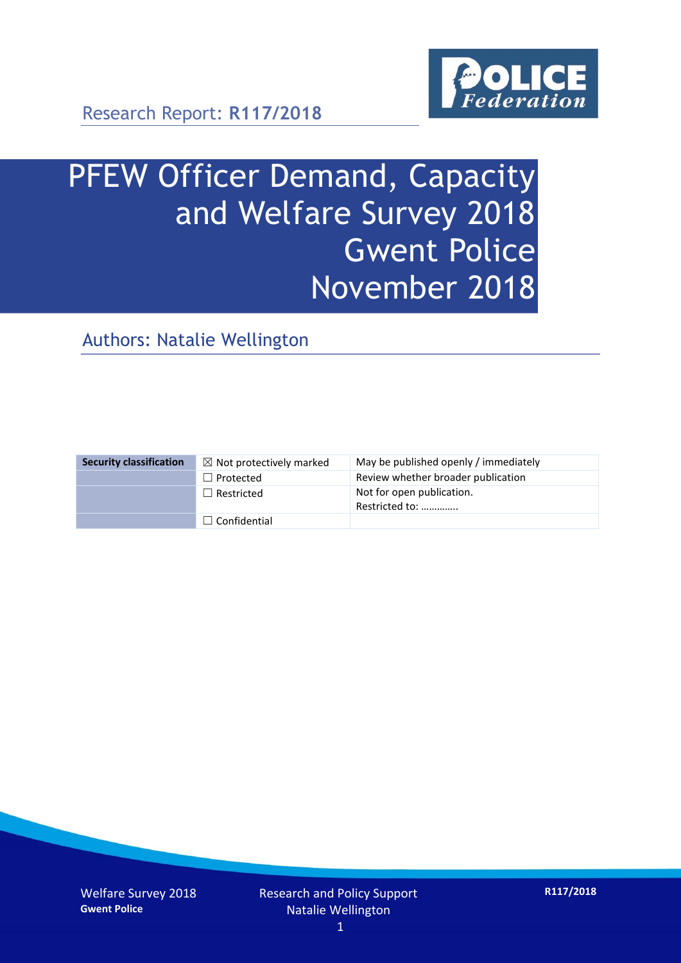

# PFEW Officer Demand, Capacity and Welfare Survey 2018 Gwent Police November 2018

Authors: Natalie Wellington

| <b>Security classification</b> | $\boxtimes$ Not protectively marked | May be published openly / immediately       |
|--------------------------------|-------------------------------------|---------------------------------------------|
|                                | $\Box$ Protected                    | Review whether broader publication          |
|                                | $\Box$ Restricted                   | Not for open publication.<br>Restricted to: |
|                                | $\Box$ Confidential                 |                                             |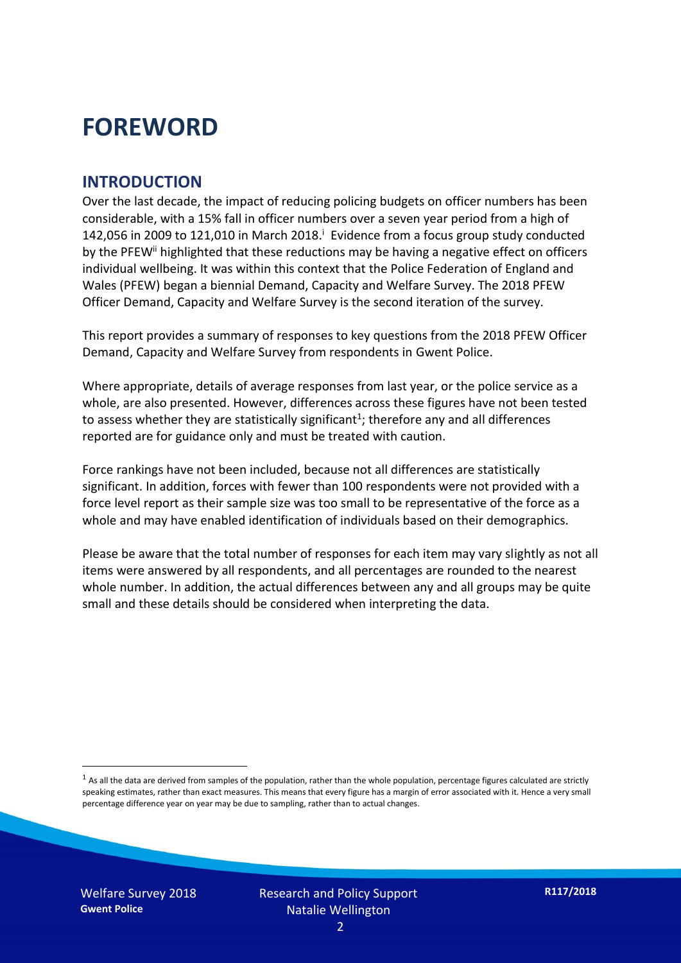### **FOREWORD**

#### **INTRODUCTION**

Over the last decade, the impact of reducing policing budgets on officer numbers has been considerable, with a 15% fall in officer numbers over a seven year period from a high of 142,056 in 2009 to 121,010 in March 2018. $^{\mathrm{i}}$  Evidence from a focus group study conducted by the PFEW<sup>ii</sup> highlighted that these reductions may be having a negative effect on officers individual wellbeing. It was within this context that the Police Federation of England and Wales (PFEW) began a biennial Demand, Capacity and Welfare Survey. The 2018 PFEW Officer Demand, Capacity and Welfare Survey is the second iteration of the survey.

This report provides a summary of responses to key questions from the 2018 PFEW Officer Demand, Capacity and Welfare Survey from respondents in Gwent Police.

Where appropriate, details of average responses from last year, or the police service as a whole, are also presented. However, differences across these figures have not been tested to assess whether they are statistically significant<sup>1</sup>; therefore any and all differences reported are for guidance only and must be treated with caution.

Force rankings have not been included, because not all differences are statistically significant. In addition, forces with fewer than 100 respondents were not provided with a force level report as their sample size was too small to be representative of the force as a whole and may have enabled identification of individuals based on their demographics.

Please be aware that the total number of responses for each item may vary slightly as not all items were answered by all respondents, and all percentages are rounded to the nearest whole number. In addition, the actual differences between any and all groups may be quite small and these details should be considered when interpreting the data.

-

 $<sup>1</sup>$  As all the data are derived from samples of the population, rather than the whole population, percentage figures calculated are strictly</sup> speaking estimates, rather than exact measures. This means that every figure has a margin of error associated with it. Hence a very small percentage difference year on year may be due to sampling, rather than to actual changes.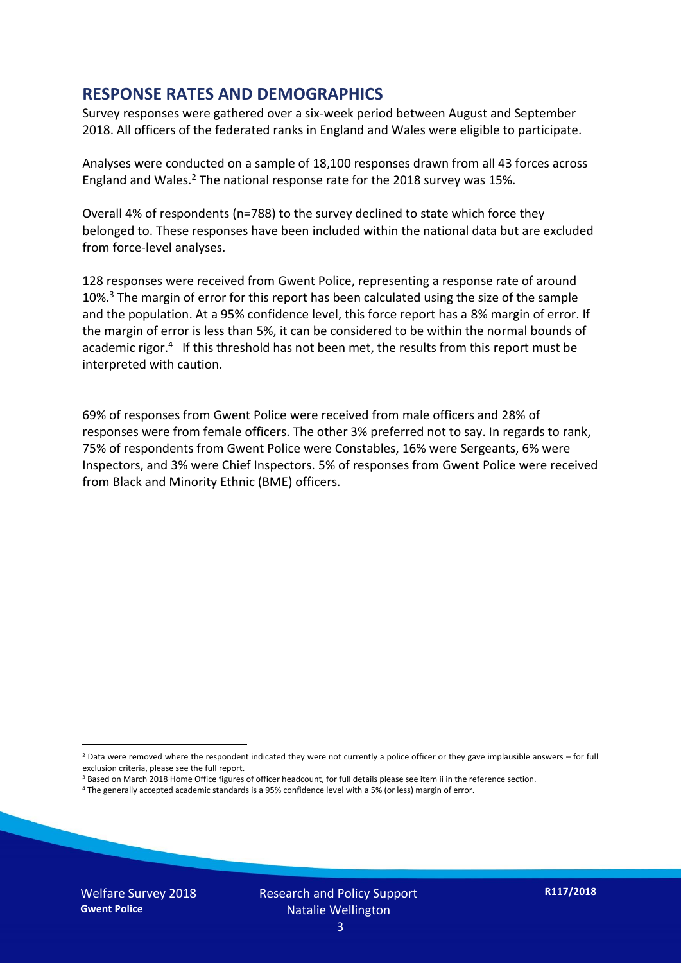#### **RESPONSE RATES AND DEMOGRAPHICS**

Survey responses were gathered over a six-week period between August and September 2018. All officers of the federated ranks in England and Wales were eligible to participate.

Analyses were conducted on a sample of 18,100 responses drawn from all 43 forces across England and Wales.<sup>2</sup> The national response rate for the 2018 survey was 15%.

Overall 4% of respondents (n=788) to the survey declined to state which force they belonged to. These responses have been included within the national data but are excluded from force-level analyses.

128 responses were received from Gwent Police, representing a response rate of around 10%.<sup>3</sup> The margin of error for this report has been calculated using the size of the sample and the population. At a 95% confidence level, this force report has a 8% margin of error. If the margin of error is less than 5%, it can be considered to be within the normal bounds of academic rigor.<sup>4</sup> If this threshold has not been met, the results from this report must be interpreted with caution.

69% of responses from Gwent Police were received from male officers and 28% of responses were from female officers. The other 3% preferred not to say. In regards to rank, 75% of respondents from Gwent Police were Constables, 16% were Sergeants, 6% were Inspectors, and 3% were Chief Inspectors. 5% of responses from Gwent Police were received from Black and Minority Ethnic (BME) officers.

-

 $2$  Data were removed where the respondent indicated they were not currently a police officer or they gave implausible answers – for full exclusion criteria, please see the full report.

<sup>3</sup> Based on March 2018 Home Office figures of officer headcount, for full details please see item ii in the reference section.

<sup>4</sup> The generally accepted academic standards is a 95% confidence level with a 5% (or less) margin of error.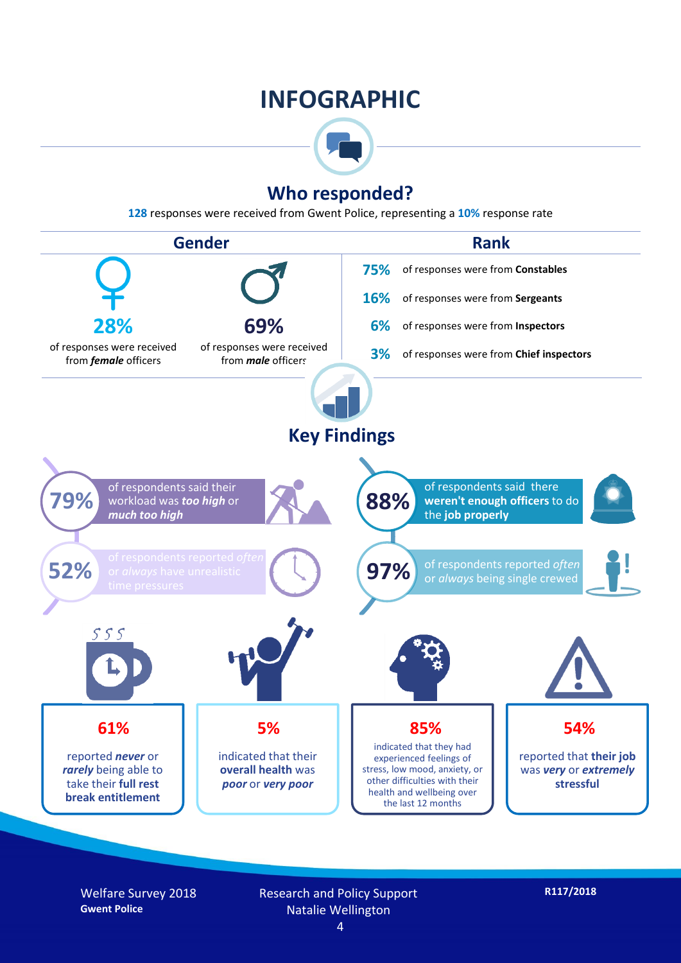### **INFOGRAPHIC**



#### **Who responded?**

**128** responses were received from Gwent Police, representing a **10%** response rate



Welfare Survey 2018 **Gwent Police**

Research and Policy Support Natalie Wellington 4

**R117/2018**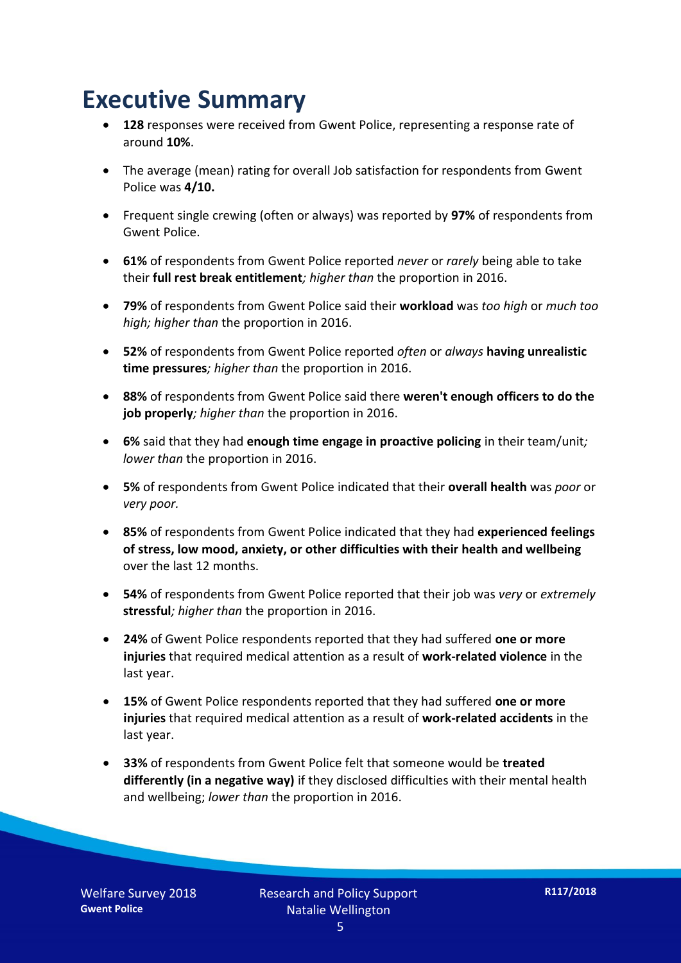### **Executive Summary**

- **128** responses were received from Gwent Police, representing a response rate of around **10%**.
- The average (mean) rating for overall Job satisfaction for respondents from Gwent Police was **4/10.**
- Frequent single crewing (often or always) was reported by **97%** of respondents from Gwent Police.
- **61%** of respondents from Gwent Police reported *never* or *rarely* being able to take their **full rest break entitlement***; higher than* the proportion in 2016.
- **79%** of respondents from Gwent Police said their **workload** was *too high* or *much too high; higher than* the proportion in 2016.
- **52%** of respondents from Gwent Police reported *often* or *always* **having unrealistic time pressures***; higher than* the proportion in 2016.
- **88%** of respondents from Gwent Police said there **weren't enough officers to do the job properly***; higher than* the proportion in 2016.
- **6%** said that they had **enough time engage in proactive policing** in their team/unit*; lower than* the proportion in 2016.
- **5%** of respondents from Gwent Police indicated that their **overall health** was *poor* or *very poor.*
- **85%** of respondents from Gwent Police indicated that they had **experienced feelings of stress, low mood, anxiety, or other difficulties with their health and wellbeing** over the last 12 months.
- **54%** of respondents from Gwent Police reported that their job was *very* or *extremely*  **stressful***; higher than* the proportion in 2016.
- **24%** of Gwent Police respondents reported that they had suffered **one or more injuries** that required medical attention as a result of **work-related violence** in the last year.
- **15%** of Gwent Police respondents reported that they had suffered **one or more injuries** that required medical attention as a result of **work-related accidents** in the last year.
- **33%** of respondents from Gwent Police felt that someone would be **treated differently (in a negative way)** if they disclosed difficulties with their mental health and wellbeing; *lower than* the proportion in 2016.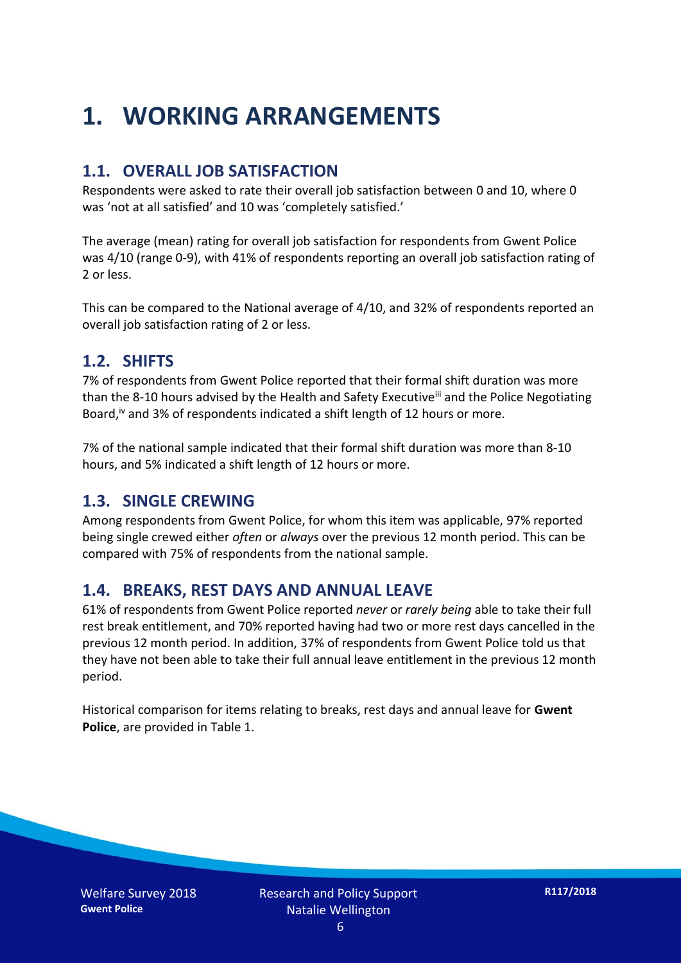## **1. WORKING ARRANGEMENTS**

#### **1.1. OVERALL JOB SATISFACTION**

Respondents were asked to rate their overall job satisfaction between 0 and 10, where 0 was 'not at all satisfied' and 10 was 'completely satisfied.'

The average (mean) rating for overall job satisfaction for respondents from Gwent Police was 4/10 (range 0-9), with 41% of respondents reporting an overall job satisfaction rating of 2 or less.

This can be compared to the National average of 4/10, and 32% of respondents reported an overall job satisfaction rating of 2 or less.

#### **1.2. SHIFTS**

7% of respondents from Gwent Police reported that their formal shift duration was more than the 8-10 hours advised by the Health and Safety Executive<sup>iii</sup> and the Police Negotiating Board,<sup>iv</sup> and 3% of respondents indicated a shift length of 12 hours or more.

7% of the national sample indicated that their formal shift duration was more than 8-10 hours, and 5% indicated a shift length of 12 hours or more.

#### **1.3. SINGLE CREWING**

Among respondents from Gwent Police, for whom this item was applicable, 97% reported being single crewed either *often* or *always* over the previous 12 month period. This can be compared with 75% of respondents from the national sample.

#### **1.4. BREAKS, REST DAYS AND ANNUAL LEAVE**

61% of respondents from Gwent Police reported *never* or *rarely being* able to take their full rest break entitlement, and 70% reported having had two or more rest days cancelled in the previous 12 month period. In addition, 37% of respondents from Gwent Police told us that they have not been able to take their full annual leave entitlement in the previous 12 month period.

Historical comparison for items relating to breaks, rest days and annual leave for **Gwent Police**, are provided in Table 1.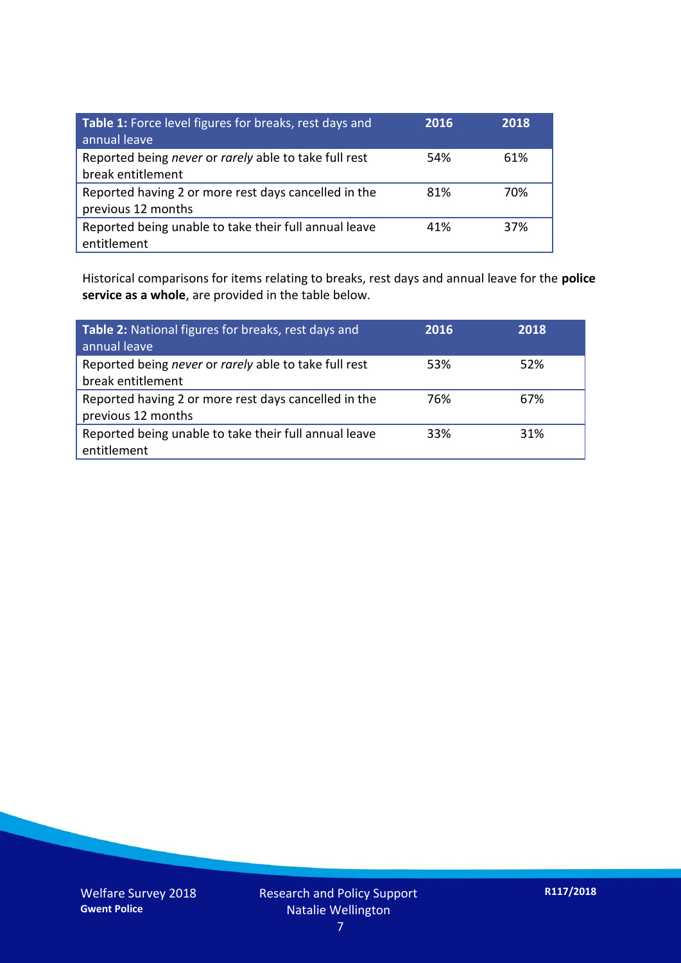| Table 1: Force level figures for breaks, rest days and<br>annual leave     | 2016 | 2018 |
|----------------------------------------------------------------------------|------|------|
| Reported being never or rarely able to take full rest<br>break entitlement | 54%  | 61%  |
| Reported having 2 or more rest days cancelled in the<br>previous 12 months | 81%  | 70%  |
| Reported being unable to take their full annual leave<br>entitlement       | 41%  | 37%  |

Historical comparisons for items relating to breaks, rest days and annual leave for the **police service as a whole**, are provided in the table below.

| Table 2: National figures for breaks, rest days and<br>annual leave        | 2016 | 2018 |
|----------------------------------------------------------------------------|------|------|
| Reported being never or rarely able to take full rest<br>break entitlement | 53%  | 52%  |
| Reported having 2 or more rest days cancelled in the<br>previous 12 months | 76%  | 67%  |
| Reported being unable to take their full annual leave<br>entitlement       | 33%  | 31%  |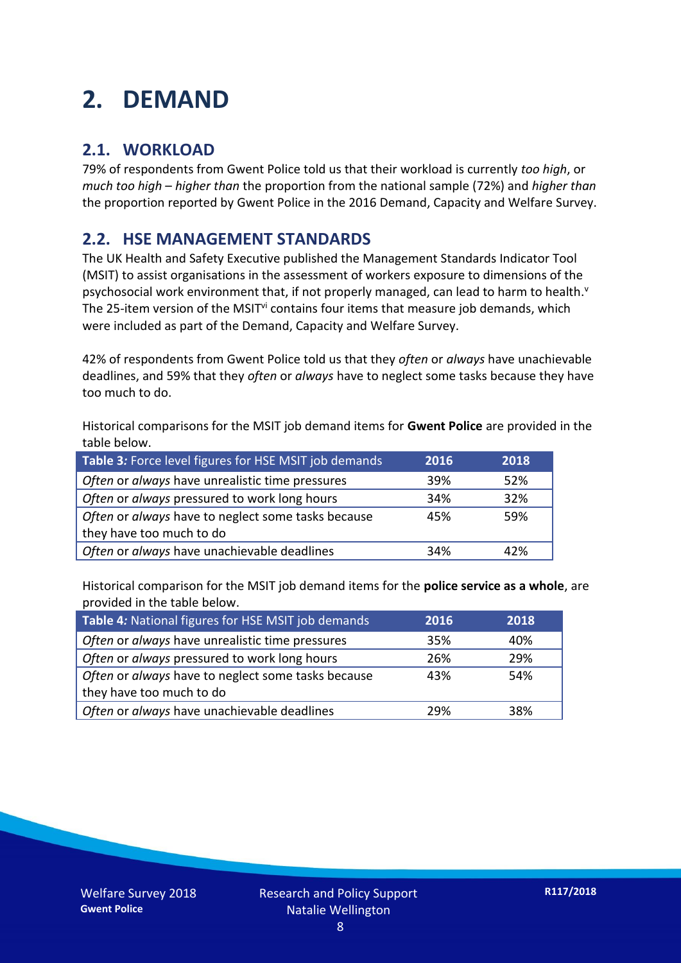## **2. DEMAND**

#### **2.1. WORKLOAD**

79% of respondents from Gwent Police told us that their workload is currently *too high*, or *much too high* – *higher than* the proportion from the national sample (72%) and *higher than* the proportion reported by Gwent Police in the 2016 Demand, Capacity and Welfare Survey.

#### **2.2. HSE MANAGEMENT STANDARDS**

The UK Health and Safety Executive published the Management Standards Indicator Tool (MSIT) to assist organisations in the assessment of workers exposure to dimensions of the psychosocial work environment that, if not properly managed, can lead to harm to health.<sup>v</sup> The 25-item version of the MSIT<sup>vi</sup> contains four items that measure job demands, which were included as part of the Demand, Capacity and Welfare Survey.

42% of respondents from Gwent Police told us that they *often* or *always* have unachievable deadlines, and 59% that they *often* or *always* have to neglect some tasks because they have too much to do.

Historical comparisons for the MSIT job demand items for **Gwent Police** are provided in the table below.

| Table 3: Force level figures for HSE MSIT job demands | 2016 | 2018 |
|-------------------------------------------------------|------|------|
| Often or always have unrealistic time pressures       | 39%  | 52%  |
| Often or always pressured to work long hours          | 34%  | 32%  |
| Often or always have to neglect some tasks because    | 45%  | 59%  |
| they have too much to do                              |      |      |
| Often or always have unachievable deadlines           | 34%  | 42%  |

Historical comparison for the MSIT job demand items for the **police service as a whole**, are provided in the table below.

| Table 4: National figures for HSE MSIT job demands | 2016 | 2018 |
|----------------------------------------------------|------|------|
| Often or always have unrealistic time pressures    | 35%  | 40%  |
| Often or always pressured to work long hours       | 26%  | 29%  |
| Often or always have to neglect some tasks because | 43%  | 54%  |
| they have too much to do                           |      |      |
| Often or always have unachievable deadlines        | 29%  | 38%  |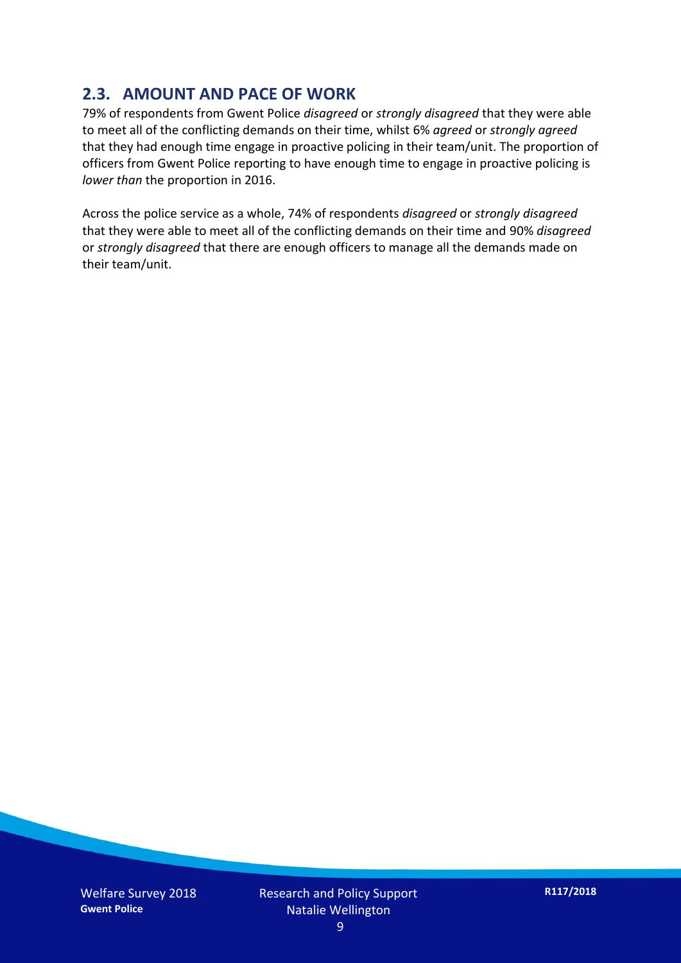#### **2.3. AMOUNT AND PACE OF WORK**

79% of respondents from Gwent Police *disagreed* or *strongly disagreed* that they were able to meet all of the conflicting demands on their time, whilst 6% *agreed* or *strongly agreed* that they had enough time engage in proactive policing in their team/unit. The proportion of officers from Gwent Police reporting to have enough time to engage in proactive policing is *lower than* the proportion in 2016.

Across the police service as a whole, 74% of respondents *disagreed* or *strongly disagreed* that they were able to meet all of the conflicting demands on their time and 90% *disagreed* or *strongly disagreed* that there are enough officers to manage all the demands made on their team/unit.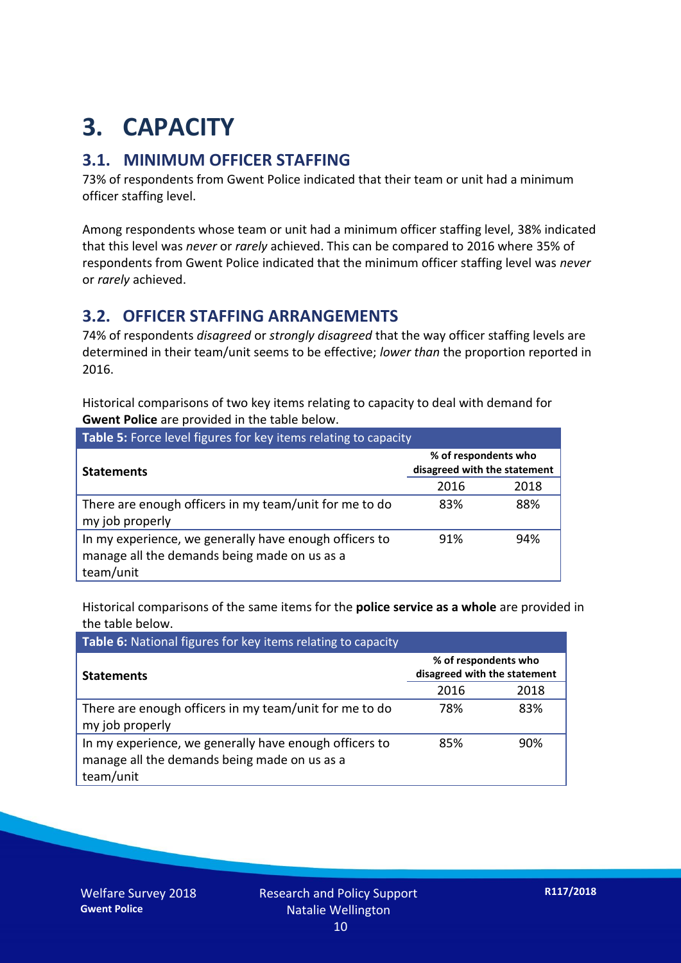## **3. CAPACITY**

#### **3.1. MINIMUM OFFICER STAFFING**

73% of respondents from Gwent Police indicated that their team or unit had a minimum officer staffing level.

Among respondents whose team or unit had a minimum officer staffing level, 38% indicated that this level was *never* or *rarely* achieved. This can be compared to 2016 where 35% of respondents from Gwent Police indicated that the minimum officer staffing level was *never* or *rarely* achieved.

#### **3.2. OFFICER STAFFING ARRANGEMENTS**

74% of respondents *disagreed* or *strongly disagreed* that the way officer staffing levels are determined in their team/unit seems to be effective; *lower than* the proportion reported in 2016.

Historical comparisons of two key items relating to capacity to deal with demand for **Gwent Police** are provided in the table below.

| Table 5: Force level figures for key items relating to capacity                                                     |                                                      |      |  |
|---------------------------------------------------------------------------------------------------------------------|------------------------------------------------------|------|--|
| <b>Statements</b>                                                                                                   | % of respondents who<br>disagreed with the statement |      |  |
|                                                                                                                     | 2016                                                 | 2018 |  |
| There are enough officers in my team/unit for me to do<br>my job properly                                           | 83%                                                  | 88%  |  |
| In my experience, we generally have enough officers to<br>manage all the demands being made on us as a<br>team/unit | 91%                                                  | 94%  |  |

Historical comparisons of the same items for the **police service as a whole** are provided in the table below.

| Table 6: National figures for key items relating to capacity                                                        |                                                      |      |  |  |
|---------------------------------------------------------------------------------------------------------------------|------------------------------------------------------|------|--|--|
| <b>Statements</b>                                                                                                   | % of respondents who<br>disagreed with the statement |      |  |  |
|                                                                                                                     | 2016                                                 | 2018 |  |  |
| There are enough officers in my team/unit for me to do<br>my job properly                                           | 78%                                                  | 83%  |  |  |
| In my experience, we generally have enough officers to<br>manage all the demands being made on us as a<br>team/unit | 85%                                                  | 90%  |  |  |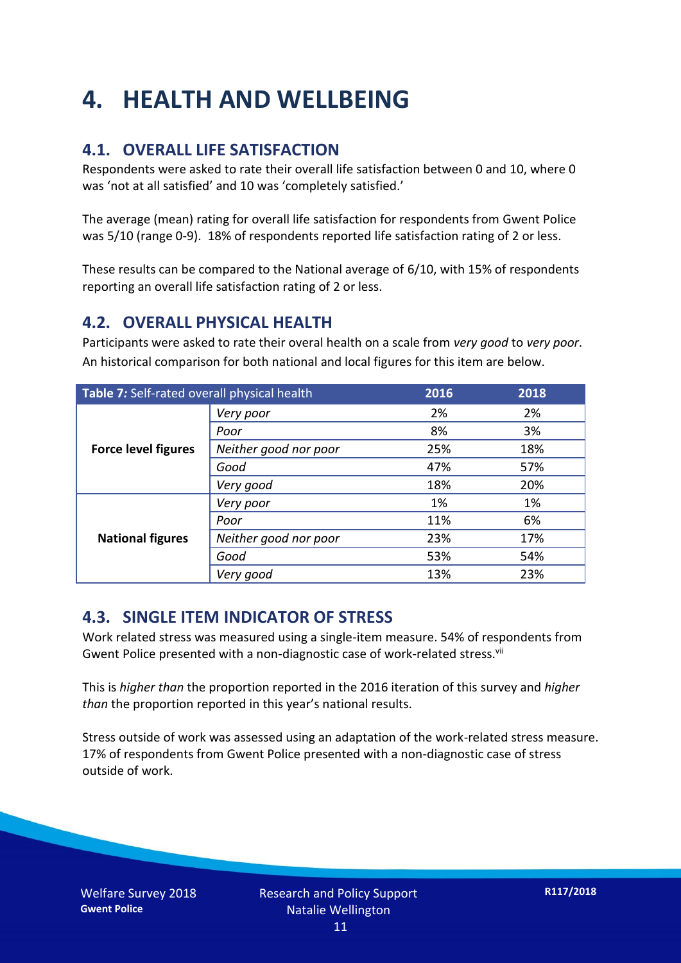## **4. HEALTH AND WELLBEING**

#### **4.1. OVERALL LIFE SATISFACTION**

Respondents were asked to rate their overall life satisfaction between 0 and 10, where 0 was 'not at all satisfied' and 10 was 'completely satisfied.'

The average (mean) rating for overall life satisfaction for respondents from Gwent Police was 5/10 (range 0-9). 18% of respondents reported life satisfaction rating of 2 or less.

These results can be compared to the National average of 6/10, with 15% of respondents reporting an overall life satisfaction rating of 2 or less.

#### **4.2. OVERALL PHYSICAL HEALTH**

Participants were asked to rate their overal health on a scale from *very good* to *very poor*. An historical comparison for both national and local figures for this item are below.

| Table 7: Self-rated overall physical health |                       | 2016 | 2018 |
|---------------------------------------------|-----------------------|------|------|
| <b>Force level figures</b>                  | Very poor             | 2%   | 2%   |
|                                             | Poor                  | 8%   | 3%   |
|                                             | Neither good nor poor | 25%  | 18%  |
|                                             | Good                  | 47%  | 57%  |
|                                             | Very good             | 18%  | 20%  |
| <b>National figures</b>                     | Very poor             | 1%   | 1%   |
|                                             | Poor                  | 11%  | 6%   |
|                                             | Neither good nor poor | 23%  | 17%  |
|                                             | Good                  | 53%  | 54%  |
|                                             | Very good             | 13%  | 23%  |

#### **4.3. SINGLE ITEM INDICATOR OF STRESS**

Work related stress was measured using a single-item measure. 54% of respondents from Gwent Police presented with a non-diagnostic case of work-related stress.<sup>vii</sup>

This is *higher than* the proportion reported in the 2016 iteration of this survey and *higher than* the proportion reported in this year's national results.

Stress outside of work was assessed using an adaptation of the work-related stress measure. 17% of respondents from Gwent Police presented with a non-diagnostic case of stress outside of work.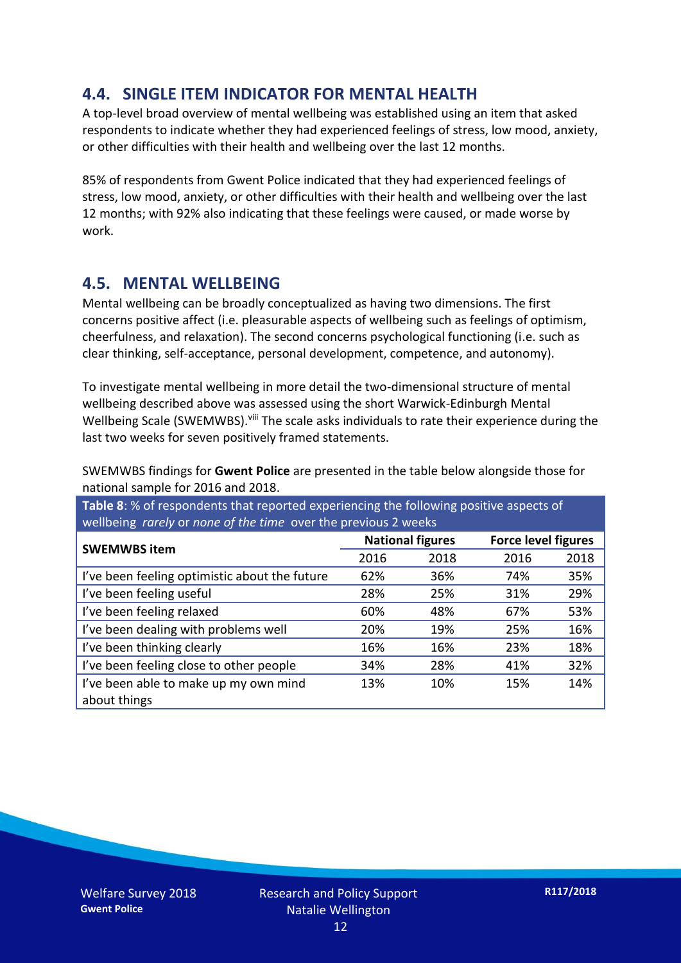#### **4.4. SINGLE ITEM INDICATOR FOR MENTAL HEALTH**

A top-level broad overview of mental wellbeing was established using an item that asked respondents to indicate whether they had experienced feelings of stress, low mood, anxiety, or other difficulties with their health and wellbeing over the last 12 months.

85% of respondents from Gwent Police indicated that they had experienced feelings of stress, low mood, anxiety, or other difficulties with their health and wellbeing over the last 12 months; with 92% also indicating that these feelings were caused, or made worse by work.

#### **4.5. MENTAL WELLBEING**

Mental wellbeing can be broadly conceptualized as having two dimensions. The first concerns positive affect (i.e. pleasurable aspects of wellbeing such as feelings of optimism, cheerfulness, and relaxation). The second concerns psychological functioning (i.e. such as clear thinking, self-acceptance, personal development, competence, and autonomy).

To investigate mental wellbeing in more detail the two-dimensional structure of mental wellbeing described above was assessed using the short Warwick-Edinburgh Mental Wellbeing Scale (SWEMWBS). viii The scale asks individuals to rate their experience during the last two weeks for seven positively framed statements.

SWEMWBS findings for **Gwent Police** are presented in the table below alongside those for national sample for 2016 and 2018.

**Table 8**: % of respondents that reported experiencing the following positive aspects of wellbeing *rarely* or *none of the time* over the previous 2 weeks

| <b>SWEMWBS item</b>                           | <b>National figures</b> |      | <b>Force level figures</b> |      |
|-----------------------------------------------|-------------------------|------|----------------------------|------|
|                                               | 2016                    | 2018 | 2016                       | 2018 |
| I've been feeling optimistic about the future | 62%                     | 36%  | 74%                        | 35%  |
| I've been feeling useful                      | 28%                     | 25%  | 31%                        | 29%  |
| I've been feeling relaxed                     | 60%                     | 48%  | 67%                        | 53%  |
| I've been dealing with problems well          | 20%                     | 19%  | 25%                        | 16%  |
| I've been thinking clearly                    | 16%                     | 16%  | 23%                        | 18%  |
| I've been feeling close to other people       | 34%                     | 28%  | 41%                        | 32%  |
| I've been able to make up my own mind         | 13%                     | 10%  | 15%                        | 14%  |
| about things                                  |                         |      |                            |      |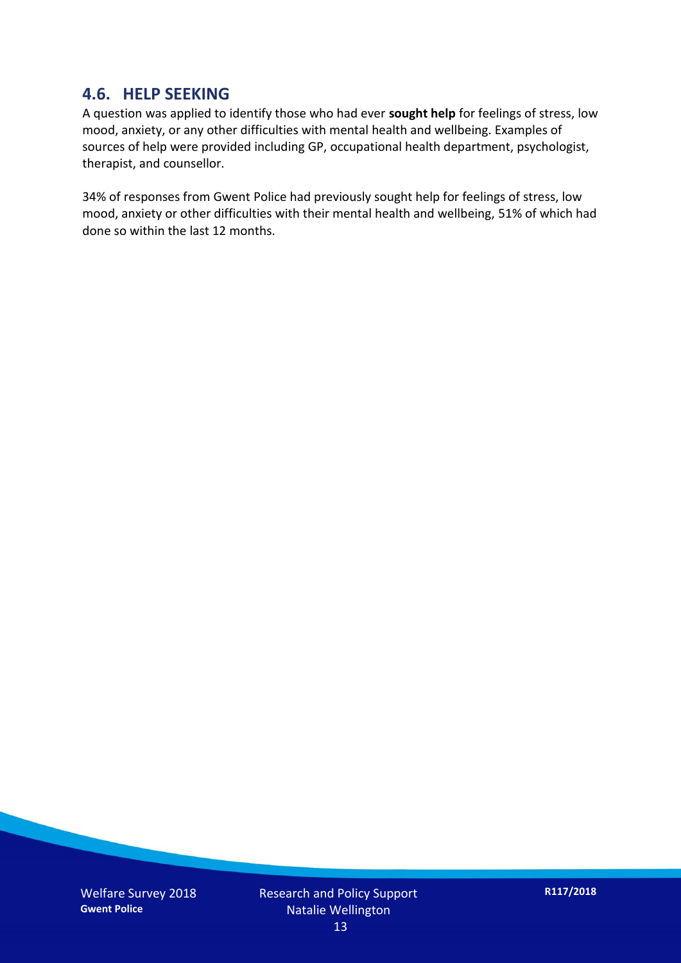#### **4.6. HELP SEEKING**

A question was applied to identify those who had ever **sought help** for feelings of stress, low mood, anxiety, or any other difficulties with mental health and wellbeing. Examples of sources of help were provided including GP, occupational health department, psychologist, therapist, and counsellor.

34% of responses from Gwent Police had previously sought help for feelings of stress, low mood, anxiety or other difficulties with their mental health and wellbeing, 51% of which had done so within the last 12 months.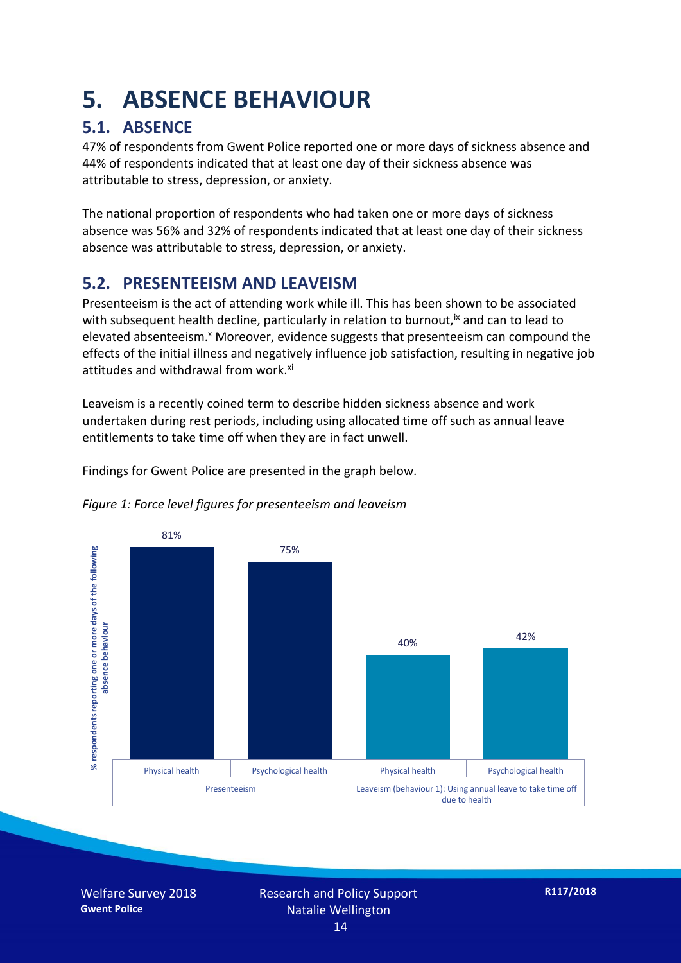### **5. ABSENCE BEHAVIOUR**

#### **5.1. ABSENCE**

47% of respondents from Gwent Police reported one or more days of sickness absence and 44% of respondents indicated that at least one day of their sickness absence was attributable to stress, depression, or anxiety.

The national proportion of respondents who had taken one or more days of sickness absence was 56% and 32% of respondents indicated that at least one day of their sickness absence was attributable to stress, depression, or anxiety.

#### **5.2. PRESENTEEISM AND LEAVEISM**

Presenteeism is the act of attending work while ill. This has been shown to be associated with subsequent health decline, particularly in relation to burnout,  $\alpha$  and can to lead to elevated absenteeism.<sup>x</sup> Moreover, evidence suggests that presenteeism can compound the effects of the initial illness and negatively influence job satisfaction, resulting in negative job attitudes and withdrawal from work.<sup>xi</sup>

Leaveism is a recently coined term to describe hidden sickness absence and work undertaken during rest periods, including using allocated time off such as annual leave entitlements to take time off when they are in fact unwell.

Findings for Gwent Police are presented in the graph below.





Welfare Survey 2018 **Gwent Police**

Research and Policy Support Natalie Wellington 14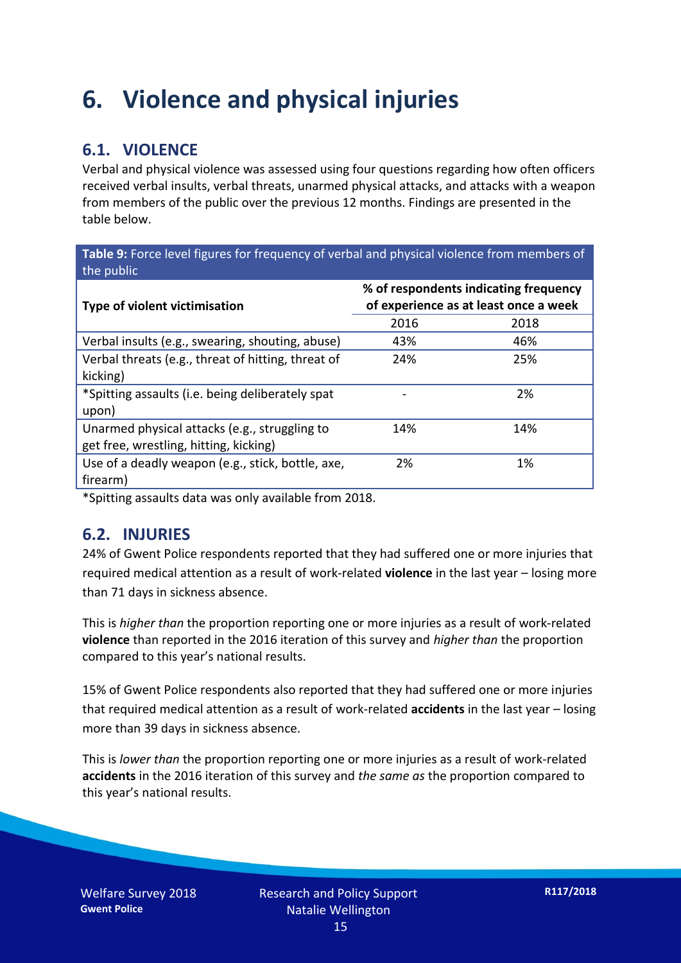### **6. Violence and physical injuries**

#### **6.1. VIOLENCE**

Verbal and physical violence was assessed using four questions regarding how often officers received verbal insults, verbal threats, unarmed physical attacks, and attacks with a weapon from members of the public over the previous 12 months. Findings are presented in the table below.

**Table 9:** Force level figures for frequency of verbal and physical violence from members of the public

| <b>Type of violent victimisation</b>               | % of respondents indicating frequency<br>of experience as at least once a week |      |  |
|----------------------------------------------------|--------------------------------------------------------------------------------|------|--|
|                                                    | 2016                                                                           | 2018 |  |
| Verbal insults (e.g., swearing, shouting, abuse)   | 43%                                                                            | 46%  |  |
| Verbal threats (e.g., threat of hitting, threat of | 24%                                                                            | 25%  |  |
| kicking)                                           |                                                                                |      |  |
| *Spitting assaults (i.e. being deliberately spat   |                                                                                | 2%   |  |
| upon)                                              |                                                                                |      |  |
| Unarmed physical attacks (e.g., struggling to      | 14%                                                                            | 14%  |  |
| get free, wrestling, hitting, kicking)             |                                                                                |      |  |
| Use of a deadly weapon (e.g., stick, bottle, axe,  | 2%                                                                             | 1%   |  |
| firearm)                                           |                                                                                |      |  |

\*Spitting assaults data was only available from 2018.

#### **6.2. INJURIES**

24% of Gwent Police respondents reported that they had suffered one or more injuries that required medical attention as a result of work-related **violence** in the last year – losing more than 71 days in sickness absence.

This is *higher than* the proportion reporting one or more injuries as a result of work-related **violence** than reported in the 2016 iteration of this survey and *higher than* the proportion compared to this year's national results.

15% of Gwent Police respondents also reported that they had suffered one or more injuries that required medical attention as a result of work-related **accidents** in the last year – losing more than 39 days in sickness absence.

This is *lower than* the proportion reporting one or more injuries as a result of work-related **accidents** in the 2016 iteration of this survey and *the same as* the proportion compared to this year's national results.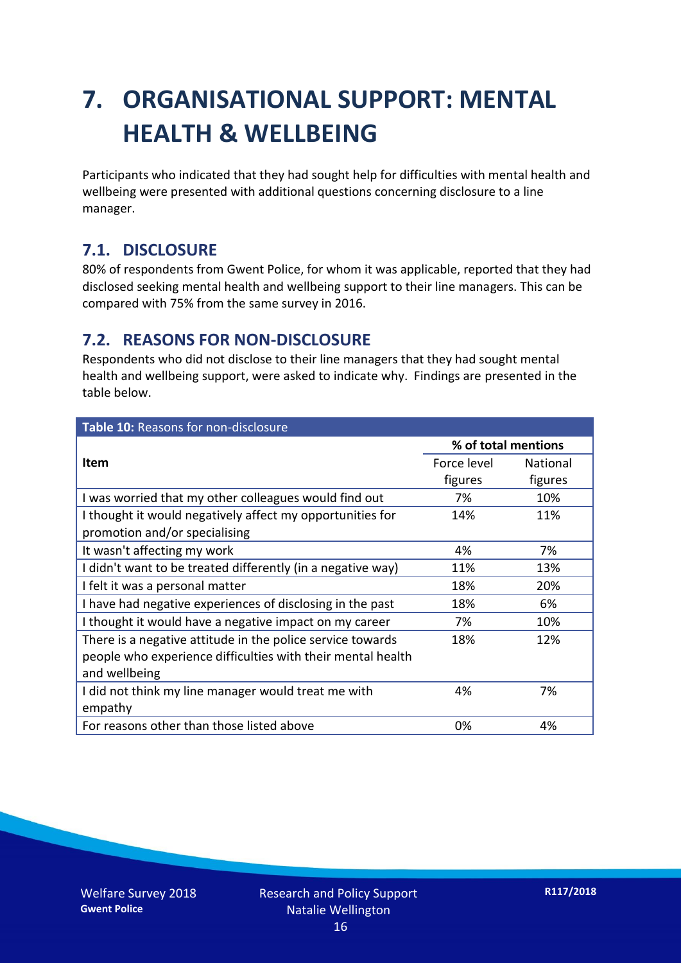## **7. ORGANISATIONAL SUPPORT: MENTAL HEALTH & WELLBEING**

Participants who indicated that they had sought help for difficulties with mental health and wellbeing were presented with additional questions concerning disclosure to a line manager.

#### **7.1. DISCLOSURE**

80% of respondents from Gwent Police, for whom it was applicable, reported that they had disclosed seeking mental health and wellbeing support to their line managers. This can be compared with 75% from the same survey in 2016.

#### **7.2. REASONS FOR NON-DISCLOSURE**

Respondents who did not disclose to their line managers that they had sought mental health and wellbeing support, were asked to indicate why. Findings are presented in the table below.

| Table 10: Reasons for non-disclosure                        |                     |          |
|-------------------------------------------------------------|---------------------|----------|
|                                                             | % of total mentions |          |
| <b>Item</b>                                                 | Force level         | National |
|                                                             | figures             | figures  |
| I was worried that my other colleagues would find out       | 7%                  | 10%      |
| I thought it would negatively affect my opportunities for   | 14%                 | 11%      |
| promotion and/or specialising                               |                     |          |
| It wasn't affecting my work                                 | 4%                  | 7%       |
| I didn't want to be treated differently (in a negative way) | 11%                 | 13%      |
| I felt it was a personal matter                             | 18%                 | 20%      |
| I have had negative experiences of disclosing in the past   | 18%                 | 6%       |
| I thought it would have a negative impact on my career      | 7%                  | 10%      |
| There is a negative attitude in the police service towards  | 18%                 | 12%      |
| people who experience difficulties with their mental health |                     |          |
| and wellbeing                                               |                     |          |
| I did not think my line manager would treat me with         | 4%                  | 7%       |
| empathy                                                     |                     |          |
| For reasons other than those listed above                   | 0%                  | 4%       |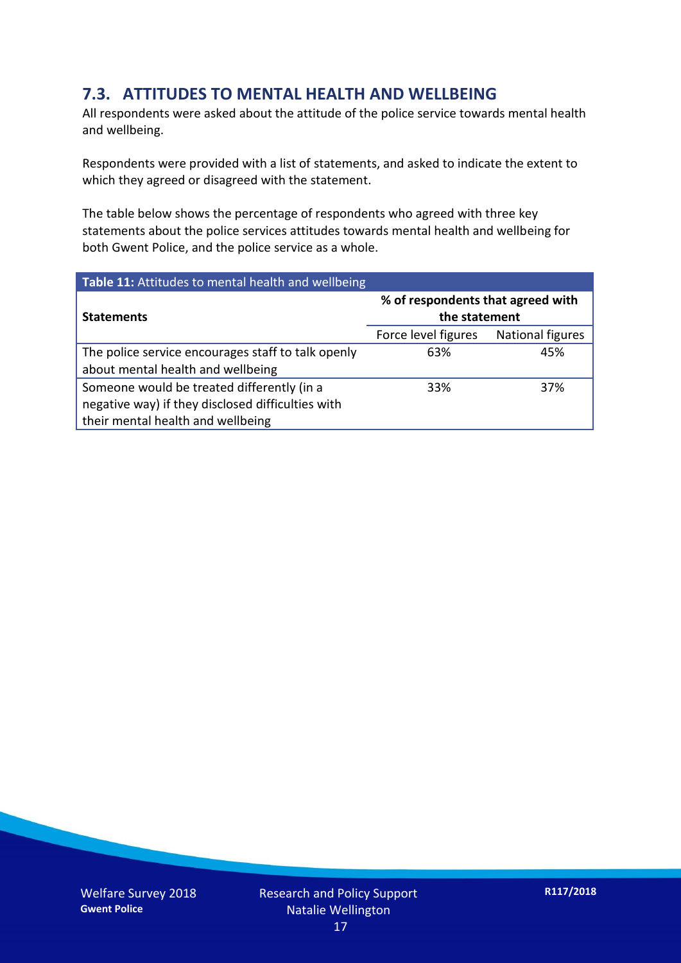#### **7.3. ATTITUDES TO MENTAL HEALTH AND WELLBEING**

All respondents were asked about the attitude of the police service towards mental health and wellbeing.

Respondents were provided with a list of statements, and asked to indicate the extent to which they agreed or disagreed with the statement.

The table below shows the percentage of respondents who agreed with three key statements about the police services attitudes towards mental health and wellbeing for both Gwent Police, and the police service as a whole.

| Table 11: Attitudes to mental health and wellbeing |                                                    |                         |
|----------------------------------------------------|----------------------------------------------------|-------------------------|
| <b>Statements</b>                                  | % of respondents that agreed with<br>the statement |                         |
|                                                    | Force level figures                                | <b>National figures</b> |
| The police service encourages staff to talk openly | 63%                                                | 45%                     |
| about mental health and wellbeing                  |                                                    |                         |
| Someone would be treated differently (in a         | 33%                                                | 37%                     |
| negative way) if they disclosed difficulties with  |                                                    |                         |
| their mental health and wellbeing                  |                                                    |                         |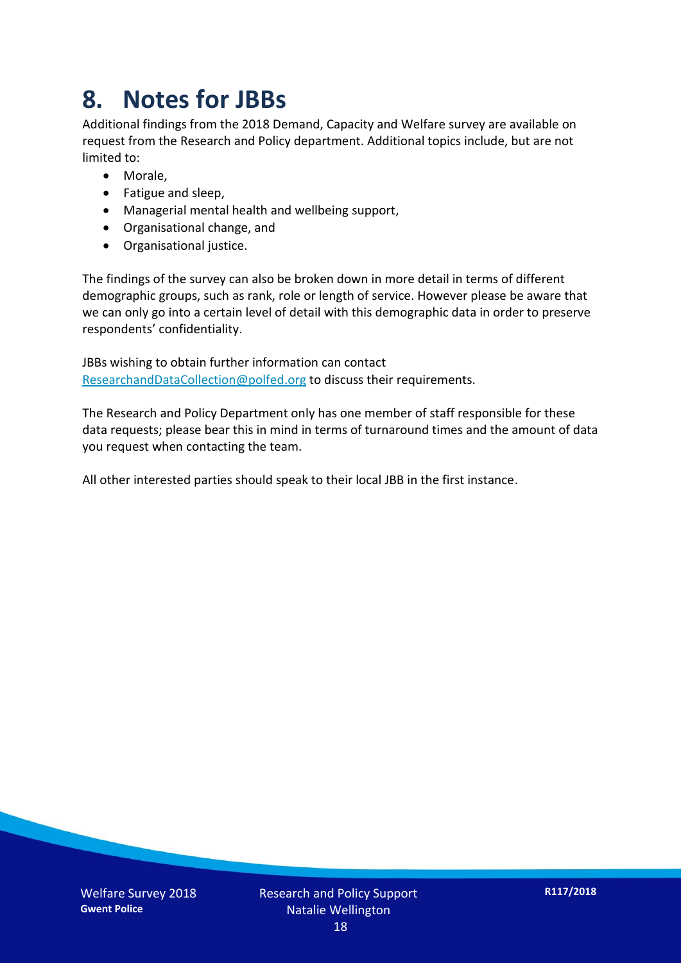### **8. Notes for JBBs**

Additional findings from the 2018 Demand, Capacity and Welfare survey are available on request from the Research and Policy department. Additional topics include, but are not limited to:

- Morale,
- Fatigue and sleep,
- Managerial mental health and wellbeing support,
- Organisational change, and
- Organisational justice.

The findings of the survey can also be broken down in more detail in terms of different demographic groups, such as rank, role or length of service. However please be aware that we can only go into a certain level of detail with this demographic data in order to preserve respondents' confidentiality.

JBBs wishing to obtain further information can contact [ResearchandDataCollection@polfed.org](mailto:ResearchandDataCollection@polfed.org) to discuss their requirements.

The Research and Policy Department only has one member of staff responsible for these data requests; please bear this in mind in terms of turnaround times and the amount of data you request when contacting the team.

All other interested parties should speak to their local JBB in the first instance.